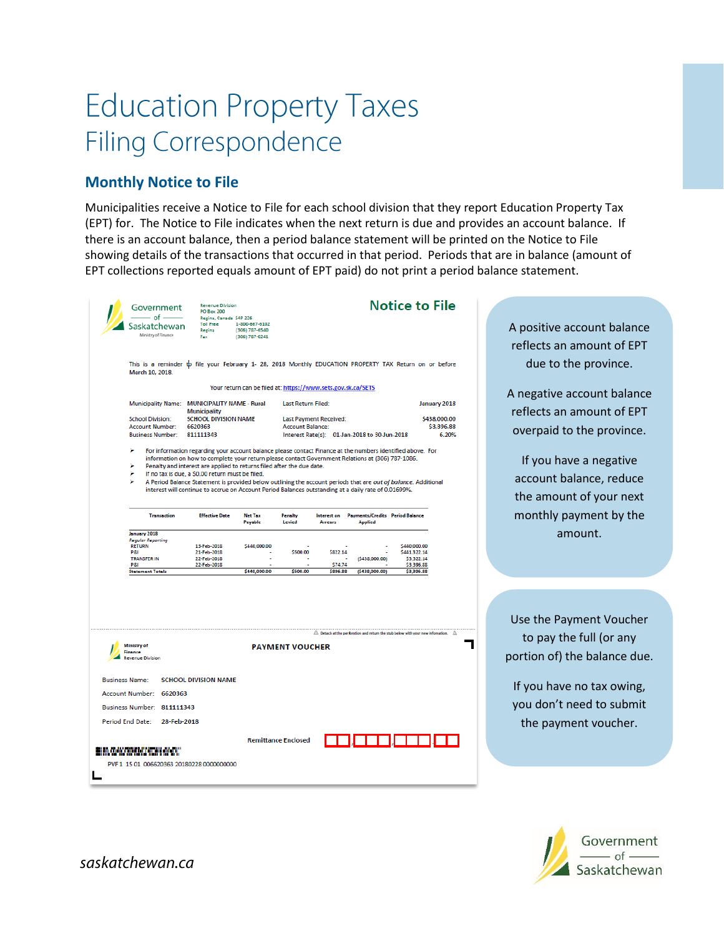## **Education Property Taxes Filing Correspondence**

## **Monthly Notice to File**

Municipalities receive a Notice to File for each school division that they report Education Property Tax (EPT) for. The Notice to File indicates when the next return is due and provides an account balance. If there is an account balance, then a period balance statement will be printed on the Notice to File showing details of the transactions that occurred in that period. Periods that are in balance (amount of EPT collections reported equals amount of EPT paid) do not print a period balance statement.

| Government                                                                                                                                                                                                                                                                                                                                             | <b>Revenue Division</b><br><b>PO Box 200</b>                  |                           | <b>Notice to File</b>         |                |                                                                                                        |                            |              |  |  |  |
|--------------------------------------------------------------------------------------------------------------------------------------------------------------------------------------------------------------------------------------------------------------------------------------------------------------------------------------------------------|---------------------------------------------------------------|---------------------------|-------------------------------|----------------|--------------------------------------------------------------------------------------------------------|----------------------------|--------------|--|--|--|
| $-$ of $-$                                                                                                                                                                                                                                                                                                                                             | Regina, Canada 54P 226                                        |                           |                               |                |                                                                                                        |                            |              |  |  |  |
| Saskatchewan<br>Ministry of Finance                                                                                                                                                                                                                                                                                                                    | Toll Free 1-800-667-6102<br>Regina                            | (306) 787-6540            |                               |                |                                                                                                        |                            |              |  |  |  |
|                                                                                                                                                                                                                                                                                                                                                        | Fax                                                           | (306) 787-0241            |                               |                |                                                                                                        |                            |              |  |  |  |
|                                                                                                                                                                                                                                                                                                                                                        |                                                               |                           |                               |                |                                                                                                        |                            |              |  |  |  |
| This is a reminder to file your February 1- 28, 2018 Monthly EDUCATION PROPERTY TAX Return on or before<br>March 10, 2018.                                                                                                                                                                                                                             |                                                               |                           |                               |                |                                                                                                        |                            |              |  |  |  |
| Your return can be filed at: https://www.sets.gov.sk.ca/SETS                                                                                                                                                                                                                                                                                           |                                                               |                           |                               |                |                                                                                                        |                            |              |  |  |  |
| Municipality Name: MUNICIPALITY NAME - Rural                                                                                                                                                                                                                                                                                                           |                                                               |                           | Last Return Filed:            |                |                                                                                                        |                            | January 2018 |  |  |  |
| <b>School Division:</b>                                                                                                                                                                                                                                                                                                                                | <b>Municipality</b><br><b>SCHOOL DIVISION NAME</b><br>6620363 |                           | <b>Last Payment Received:</b> |                |                                                                                                        |                            | \$438,000.00 |  |  |  |
| <b>Account Number:</b>                                                                                                                                                                                                                                                                                                                                 |                                                               |                           | Account Balance:              |                |                                                                                                        |                            | \$3,396.88   |  |  |  |
| <b>Business Number:</b>                                                                                                                                                                                                                                                                                                                                | 811111343                                                     |                           |                               |                | Interest Rate(s): 01-Jan-2018 to 30-Jun-2018                                                           |                            | 6.20%        |  |  |  |
| ⋗<br>For information regarding your account balance please contact Finance at the numbers identified above. For<br>information on how to complete your return please contact Government Relations at (306) 787-1086.<br>Penalty and interest are applied to returns filed after the due date.<br>⋗<br>If no tax is due, a \$0.00 return must be filed. |                                                               |                           |                               |                |                                                                                                        |                            |              |  |  |  |
| ъ<br>A Period Balance Statement is provided below outlining the account periods that are out of balance. Additional<br>interest will continue to accrue on Account Period Balances outstanding at a daily rate of 0.01699%.                                                                                                                            |                                                               |                           |                               |                |                                                                                                        |                            |              |  |  |  |
| <b>Transaction</b>                                                                                                                                                                                                                                                                                                                                     | <b>Effective Date</b>                                         | <b>Net Tax</b><br>Payable | Penalty<br>Levied             | <b>Arrears</b> | Interest on Payments/Credits Period Balance<br><b>Applied</b>                                          |                            |              |  |  |  |
| January 2018                                                                                                                                                                                                                                                                                                                                           |                                                               |                           |                               |                |                                                                                                        |                            |              |  |  |  |
| <b>Regular Reporting</b><br><b>RETURN</b>                                                                                                                                                                                                                                                                                                              | 13-Feb-2018                                                   | \$440,000.00              |                               |                |                                                                                                        | \$440,000.00               |              |  |  |  |
| <b>P&amp;I</b><br><b>TRANSFER IN</b>                                                                                                                                                                                                                                                                                                                   | 21-Feb-2018<br>22-Feb-2018                                    |                           | \$500.00                      | \$822.14       | (5438,000.00)                                                                                          | \$441,322.14<br>\$3,322,14 |              |  |  |  |
| <b>P&amp;I</b>                                                                                                                                                                                                                                                                                                                                         | 22-Feb-2018                                                   |                           |                               | \$74.74        |                                                                                                        | \$3,396.88                 |              |  |  |  |
| <b>Statement Totals</b>                                                                                                                                                                                                                                                                                                                                |                                                               | \$440,000.00              | \$500.00                      | \$896.88       | (\$438,000.00)                                                                                         | \$3,396.88                 |              |  |  |  |
|                                                                                                                                                                                                                                                                                                                                                        |                                                               |                           |                               |                | $\triangle$ Detach at the perforation and return the stub below with your new information. $\triangle$ |                            |              |  |  |  |
| <b>Ministry of</b><br>Finance<br><b>Revenue Division</b>                                                                                                                                                                                                                                                                                               |                                                               |                           | <b>PAYMENT VOUCHER</b>        |                |                                                                                                        |                            |              |  |  |  |
| <b>Business Name:</b>                                                                                                                                                                                                                                                                                                                                  | <b>SCHOOL DIVISION NAME</b>                                   |                           |                               |                |                                                                                                        |                            |              |  |  |  |
| Account Number: 6620363                                                                                                                                                                                                                                                                                                                                |                                                               |                           |                               |                |                                                                                                        |                            |              |  |  |  |
| Business Number: 811111343                                                                                                                                                                                                                                                                                                                             |                                                               |                           |                               |                |                                                                                                        |                            |              |  |  |  |
| Period End Date:<br>28-Feb-2018                                                                                                                                                                                                                                                                                                                        |                                                               |                           |                               |                |                                                                                                        |                            |              |  |  |  |
| el an chean anns an ceann an an chea<br>PVF 1 15 01 006620363 20180228 0000000000                                                                                                                                                                                                                                                                      |                                                               |                           | <b>Remittance Enclosed</b>    |                |                                                                                                        |                            |              |  |  |  |

A positive account balance reflects an amount of EPT due to the province.

A negative account balance reflects an amount of EPT overpaid to the province.

If you have a negative account balance, reduce the amount of your next monthly payment by the amount.

Use the Payment Voucher to pay the full (or any portion of) the balance due.

If you have no tax owing, you don't need to submit the payment voucher.